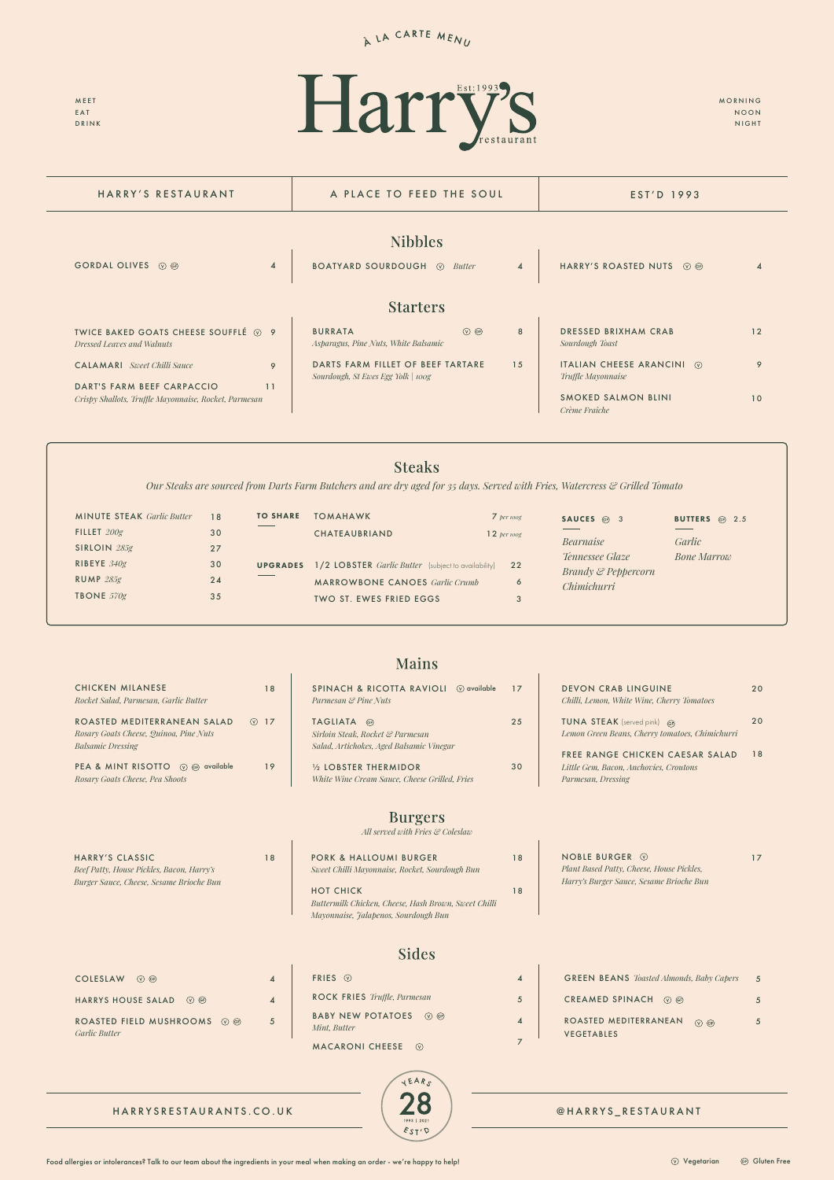# A LA CARTE MENU

MEET EAT DRINK



MORNING NOON NIGHT



| FRIES $\odot$                           |
|-----------------------------------------|
| ROCK FRIES Truffle, Parmesan            |
| BABY NEW POTATOES (V) ®<br>Mint. Butter |
| <b>MACARONI CHEESE</b><br>(v)           |

NOBLE BURGER  $\odot$ *Plant Based Patty, Cheese, House Pickles, Harry's Burger Sauce, Sesame Brioche Bun* 

| HARRY'S RESTAURANT                                                                        | A PLACE TO FEED THE SOUL                                                    | EST'D 1993              |                                                              |    |
|-------------------------------------------------------------------------------------------|-----------------------------------------------------------------------------|-------------------------|--------------------------------------------------------------|----|
|                                                                                           | <b>Nibbles</b>                                                              |                         |                                                              |    |
| $\boldsymbol{\Lambda}$<br>GORDAL OLIVES <b><i>O</i></b> @                                 | <b>BOATYARD SOURDOUGH @</b><br><b>Butter</b>                                | $\overline{\mathbf{4}}$ | HARRY'S ROASTED NUTS ⓒ .                                     |    |
|                                                                                           | <b>Starters</b>                                                             |                         |                                                              |    |
| TWICE BAKED GOATS CHEESE SOUFFLÉ ⊙ 9<br>Dressed Leaves and Walnuts                        | $\circledcirc$ GP<br><b>BURRATA</b><br>Asparagus, Pine Nuts, White Balsamic | 8                       | DRESSED BRIXHAM CRAB<br>Sourdough Toast                      | 12 |
| <b>CALAMARI</b> Sweet Chilli Sauce<br>9                                                   | DARTS FARM FILLET OF BEEF TARTARE<br>Sourdough, St Ewes Egg Yolk   100g     | 15                      | ITALIAN CHEESE ARANCINI $\circledcirc$<br>Truffle Mayonnaise | 9  |
| DART'S FARM BEEF CARPACCIO<br>11<br>Crispy Shallots, Truffle Mayonnaise, Rocket, Parmesan |                                                                             |                         | SMOKED SALMON BLINI<br>Crème Fraîche                         | 10 |

4

5

4

7

4

 $\overline{\phantom{a}}$ 

4

5

| <b>GREEN BEANS</b> <i>Toasted Almonds, Baby Capers</i>          | 5 |
|-----------------------------------------------------------------|---|
| CREAMED SPINACH<br>$(V)$ (GF)                                   |   |
| ROASTED MEDITERRANEAN<br>$(\sqrt{6})$ (GF)<br><b>VEGETABLES</b> |   |

| $COLESLAW$ ( $\heartsuit$ GF)                                                 |  |  |
|-------------------------------------------------------------------------------|--|--|
| HARRYS HOUSE SALAD (2) GB                                                     |  |  |
| ROASTED FIELD MUSHROOMS $\circledcirc$ $\circledcirc$<br><i>Garlic Butter</i> |  |  |

*Our Steaks are sourced from Darts Farm Butchers and are dry aged for 35 days. Served with Fries, Watercress & Grilled Tomato*

|                                                                                                   |            | <b>Mains</b>                                                                                |    |                                                                                                                           |          |
|---------------------------------------------------------------------------------------------------|------------|---------------------------------------------------------------------------------------------|----|---------------------------------------------------------------------------------------------------------------------------|----------|
| <b>CHICKEN MILANESE</b><br>Rocket Salad, Parmesan, Garlic Butter                                  | 18         | SPINACH & RICOTTA RAVIOLI<br>$\circledcirc$ available<br>Parmesan & Pine Nuts               | 17 | <b>DEVON CRAB LINGUINE</b><br>Chilli, Lemon, White Wine, Cherry Tomatoes                                                  | 20       |
| ROASTED MEDITERRANEAN SALAD<br>Rosary Goats Cheese, Quinoa, Pine Nuts<br><b>Balsamic Dressing</b> | $\circ$ 17 | TAGLIATA GP<br>Sirloin Steak, Rocket & Parmesan<br>Salad, Artichokes, Aged Balsamic Vinegar | 25 | <b>TUNA STEAK</b> (served pink) GF)<br>Lemon Green Beans, Cherry tomatoes, Chimichurri<br>FREE RANGE CHICKEN CAESAR SALAD | 20<br>18 |
| PEA & MINT RISOTTO (V) @ available<br>Rosary Goats Cheese, Pea Shoots                             | 19         | 1/2 LOBSTER THERMIDOR<br>White Wine Cream Sauce, Cheese Grilled, Fries                      | 30 | Little Gem. Bacon. Anchovies. Croutons<br>Parmesan, Dressing                                                              |          |
|                                                                                                   |            | $\mathbf n$ and $\mathbf n$                                                                 |    |                                                                                                                           |          |

### **Burgers**

17

*All served with Fries & Coleslaw*

HARRY'S CLASSIC

*Beef Patty, House Pickles, Bacon, Harry's Burger Sauce, Cheese, Sesame Brioche Bun*

| <b>MINUTE STEAK</b> Garlic Butter<br>FILLET $200g$<br>SIRLOIN $285g$ | 18<br>30<br>27 | <b>TO SHARE</b> | <b>TOMAHAWK</b><br><b>CHATEAUBRIAND</b>                                 | $7$ per 100g<br>12 per 100g | SAUCES @ 3<br>Bearnaise                           | BUTTERS @ 2.5<br>Garlic |
|----------------------------------------------------------------------|----------------|-----------------|-------------------------------------------------------------------------|-----------------------------|---------------------------------------------------|-------------------------|
| RIBEYE $340g$                                                        | 30             | <b>UPGRADES</b> | 1/2 LOBSTER Garlic Butter (subject to availability) 22                  |                             | Tennessee Glaze<br><b>Brandy &amp; Peppercorn</b> | <b>Bone Marrow</b>      |
| $RUMP$ $285g$<br><b>TBONE</b> $570g$                                 | 24<br>35       |                 | <b>MARROWBONE CANOES</b> Garlic Crumb<br><b>TWO ST. EWES FRIED EGGS</b> | 6                           | <b>Chimichurri</b>                                |                         |

| 18 | <b>PORK &amp; HALLOUMI BURGER</b><br>Sweet Chilli Mayonnaise, Rocket, Sourdough Bun | 18 |
|----|-------------------------------------------------------------------------------------|----|
|    | <b>HOT CHICK</b>                                                                    | 18 |

HOT CHICK *Buttermilk Chicken, Cheese, Hash Brown, Sweet Chilli Mayonnaise, Jalapenos, Sourdough Bun*

#### **Sides**

18